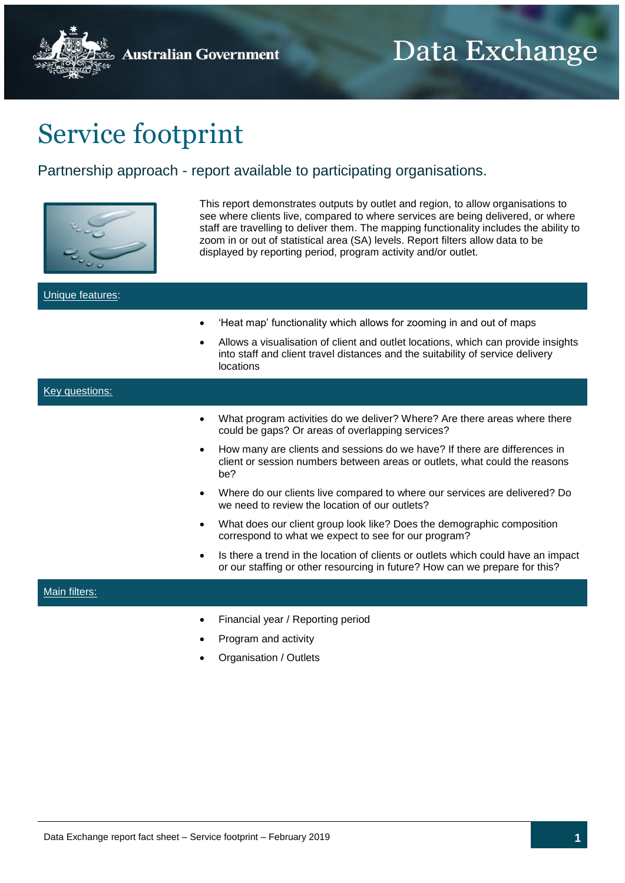**Australian Government** 

## Service footprint

## Partnership approach - report available to participating organisations.



This report demonstrates outputs by outlet and region, to allow organisations to see where clients live, compared to where services are being delivered, or where staff are travelling to deliver them. The mapping functionality includes the ability to zoom in or out of statistical area (SA) levels. Report filters allow data to be displayed by reporting period, program activity and/or outlet.

| Unique features: |                                                                                                                                                                                                                                                          |
|------------------|----------------------------------------------------------------------------------------------------------------------------------------------------------------------------------------------------------------------------------------------------------|
| ٠                | 'Heat map' functionality which allows for zooming in and out of maps<br>Allows a visualisation of client and outlet locations, which can provide insights<br>into staff and client travel distances and the suitability of service delivery<br>locations |
| Key questions:   |                                                                                                                                                                                                                                                          |
|                  | What program activities do we deliver? Where? Are there areas where there<br>could be gaps? Or areas of overlapping services?                                                                                                                            |
|                  | How many are clients and sessions do we have? If there are differences in<br>client or session numbers between areas or outlets, what could the reasons<br>be?                                                                                           |
| $\bullet$        | Where do our clients live compared to where our services are delivered? Do<br>we need to review the location of our outlets?                                                                                                                             |
| ٠                | What does our client group look like? Does the demographic composition<br>correspond to what we expect to see for our program?                                                                                                                           |
|                  | Is there a trend in the location of clients or outlets which could have an impact<br>or our staffing or other resourcing in future? How can we prepare for this?                                                                                         |
| Main filters:    |                                                                                                                                                                                                                                                          |
|                  | Financial year / Reporting period                                                                                                                                                                                                                        |
|                  | Program and activity                                                                                                                                                                                                                                     |
|                  | Organisation / Outlets                                                                                                                                                                                                                                   |